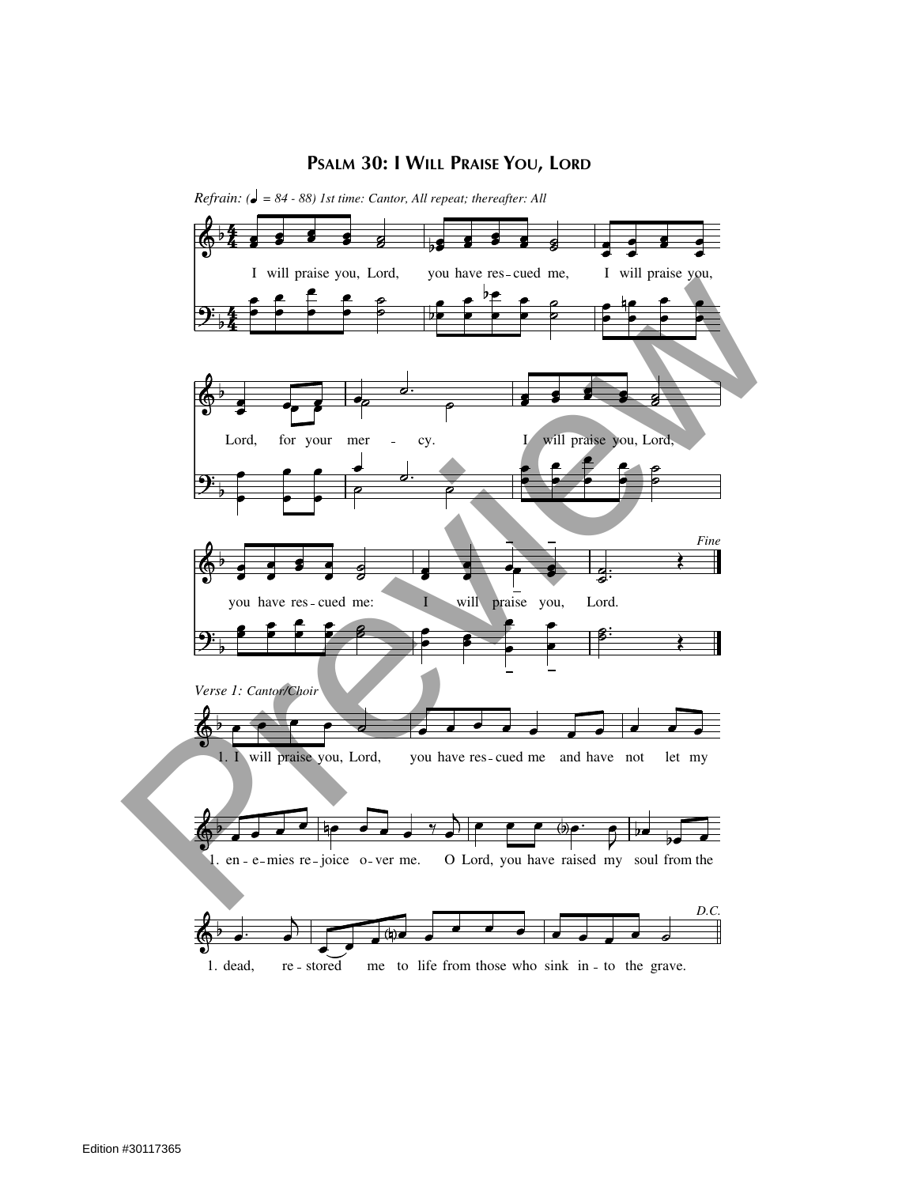## **PSALM 30: I WILL PRAISE YOU, LORD**